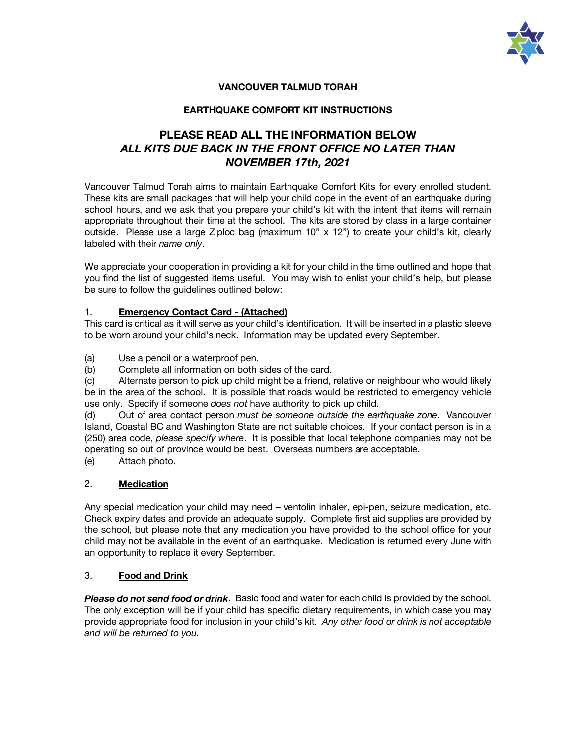

## **VANCOUVER TALMUD TORAH**

### **EARTHQUAKE COMFORT KIT INSTRUCTIONS**

# **PLEASE READ ALL THE INFORMATION BELOW** *ALL KITS DUE BACK IN THE FRONT OFFICE NO LATER THAN NOVEMBER 17th, 2021*

Vancouver Talmud Torah aims to maintain Earthquake Comfort Kits for every enrolled student. These kits are small packages that will help your child cope in the event of an earthquake during school hours, and we ask that you prepare your child's kit with the intent that items will remain appropriate throughout their time at the school. The kits are stored by class in a large container outside. Please use a large Ziploc bag (maximum 10" x 12") to create your child's kit, clearly labeled with their *name only*.

We appreciate your cooperation in providing a kit for your child in the time outlined and hope that you find the list of suggested items useful. You may wish to enlist your child's help, but please be sure to follow the guidelines outlined below:

### 1. **Emergency Contact Card - (Attached)**

This card is critical as it will serve as your child's identification. It will be inserted in a plastic sleeve to be worn around your child's neck. Information may be updated every September.

(a) Use a pencil or a waterproof pen.

(b) Complete all information on both sides of the card.

(c) Alternate person to pick up child might be a friend, relative or neighbour who would likely be in the area of the school. It is possible that roads would be restricted to emergency vehicle use only. Specify if someone *does not* have authority to pick up child.

(d) Out of area contact person *must be someone outside the earthquake zone*. Vancouver Island, Coastal BC and Washington State are not suitable choices. If your contact person is in a (250) area code, *please specify where*. It is possible that local telephone companies may not be operating so out of province would be best. Overseas numbers are acceptable.

(e) Attach photo.

### 2. **Medication**

Any special medication your child may need – ventolin inhaler, epi-pen, seizure medication, etc. Check expiry dates and provide an adequate supply. Complete first aid supplies are provided by the school, but please note that any medication you have provided to the school office for your child may not be available in the event of an earthquake. Medication is returned every June with an opportunity to replace it every September.

### 3. **Food and Drink**

*Please do not send food or drink*. Basic food and water for each child is provided by the school. The only exception will be if your child has specific dietary requirements, in which case you may provide appropriate food for inclusion in your child's kit. *Any other food or drink is not acceptable and will be returned to you.*